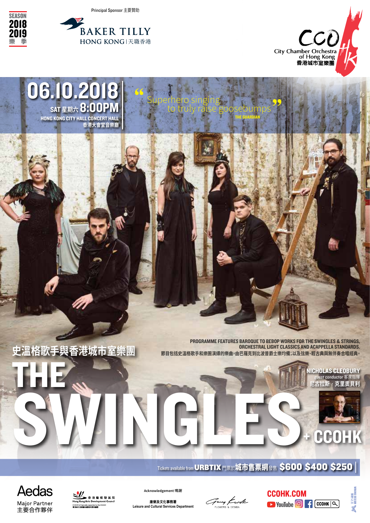Principal Sponsor 主要贊助

"

Superhero singing<br>to truly raise goosebumps

THE GUARDIAN

 $\frac{99}{1}$ 



**香港大會堂音樂廳**





2018 2019 樂 季

**SEASON** 

**史溫格歌手與香港城市室樂團**

█████<br>Hong Kong Arts Development Council

CCOHK is financially supported by t<br><a>ht+d::::+++ at/m ts at as as as as an an

THE

**Aedas** 

Major Partner<br>主要合作夥伴

© NEDIM NAZERALI

PROGRAMME FEATURES BAROQUE TO BEBOP WORKS FOR THE SWINGLES & STRINGS, ORCHESTRAL LIGHT CLASSICS AND ACAPPELLA STANDARDS. **節目包括史溫格歌手和樂團演繹的樂曲,由巴羅克到比波普爵士樂均備;以及弦樂、輕古典與無伴奏合唱經典。**

SWINGLES. NICHOLAS CLEOBURY est conductor 客席指 **尼古拉斯‧克里奧貝利**



Tickets available from URBTIX 門票於城市售票網發售 \$600 \$400 \$250 |











Fang Kwok